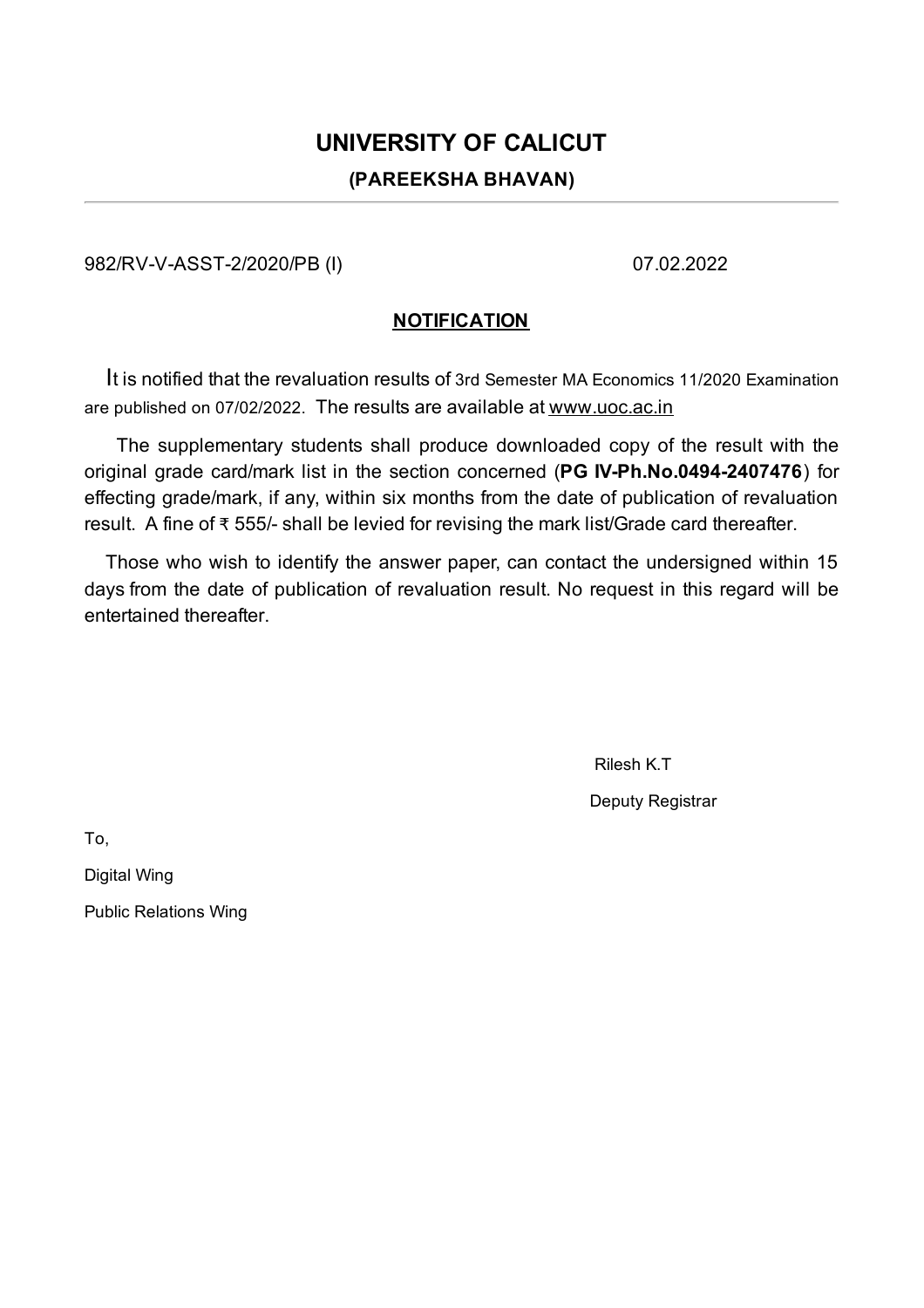## **UNIVERSITY OF CALICUT (PAREEKSHA BHAVAN)**

982/RV-V-ASST-2/2020/PB (I) 07.02.2022

## **NOTIFICATION**

It is notified that the revaluation results of 3rd Semester MA Economics 11/2020 Examination are published on 07/02/2022. The results are available at www.uoc.ac.in

The supplementary students shall produce downloaded copy of the result with the original grade card/mark list in the section concerned (**PG IV-Ph.No.0494-2407476**) for effecting grade/mark, if any, within six months from the date of publication of revaluation result. A fine of ₹ 555/- shall be levied for revising the mark list/Grade card thereafter.

Those who wish to identify the answer paper, can contact the undersigned within 15 days from the date of publication of revaluation result. No request in this regard will be entertained thereafter.

Rilesh K.T

Deputy Registrar

To,

Digital Wing

Public Relations Wing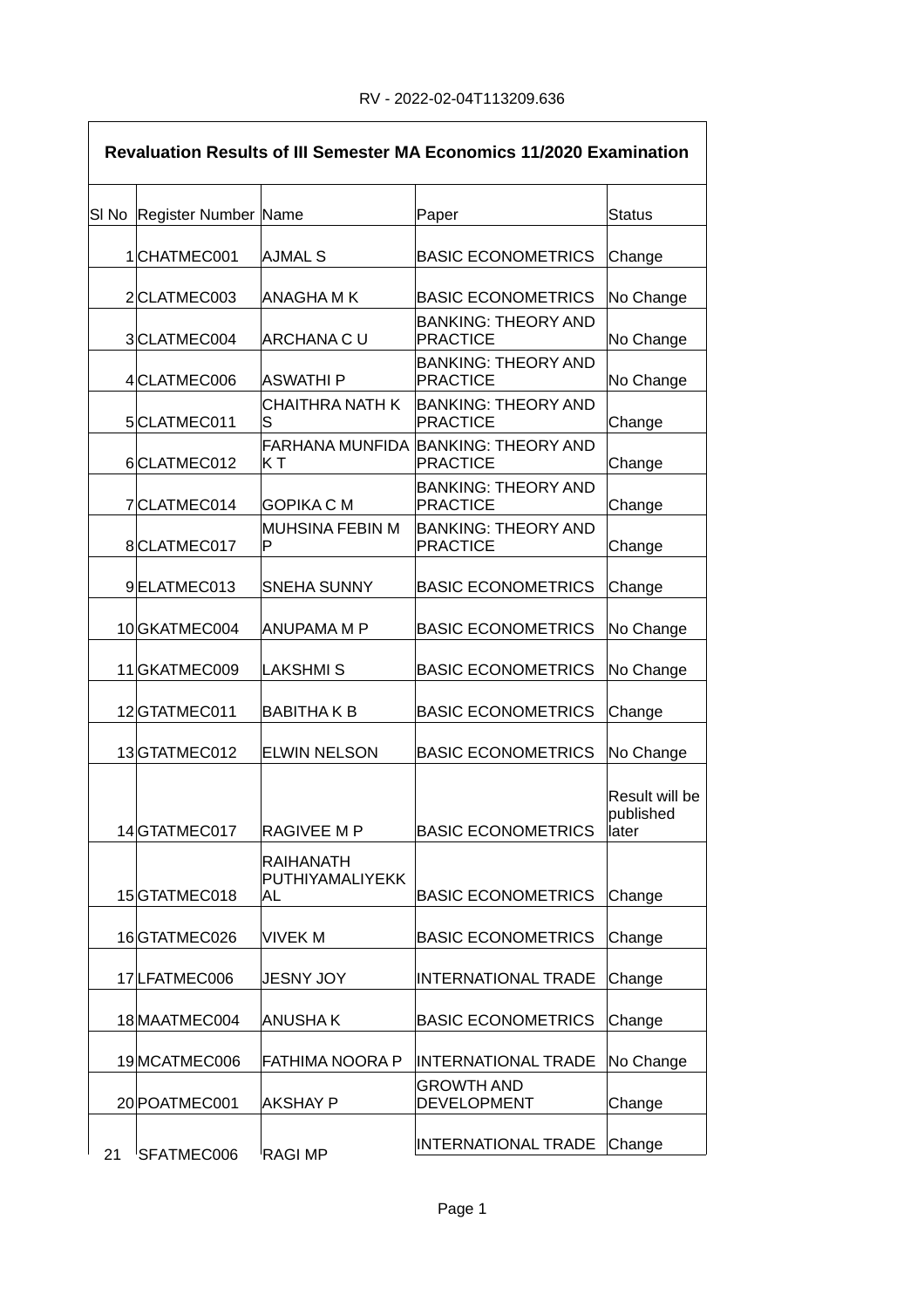$\overline{\phantom{a}}$ 

| <b>Revaluation Results of III Semester MA Economics 11/2020 Examination</b> |                            |                                     |                                                        |                                      |  |  |
|-----------------------------------------------------------------------------|----------------------------|-------------------------------------|--------------------------------------------------------|--------------------------------------|--|--|
|                                                                             | SI No Register Number Name |                                     | Paper                                                  | Status                               |  |  |
|                                                                             | 1CHATMEC001                | AJMAL S                             | <b>BASIC ECONOMETRICS</b>                              | Change                               |  |  |
|                                                                             | 2CLATMEC003                | ANAGHA M K                          | <b>BASIC ECONOMETRICS</b>                              | No Change                            |  |  |
|                                                                             | 3CLATMEC004                | <b>ARCHANA C U</b>                  | <b>BANKING: THEORY AND</b><br><b>PRACTICE</b>          | No Change                            |  |  |
|                                                                             | 4CLATMEC006                | ASWATHI P                           | <b>BANKING: THEORY AND</b><br><b>PRACTICE</b>          | No Change                            |  |  |
|                                                                             | 5CLATMEC011                | <b>CHAITHRA NATH K</b><br>S         | <b>BANKING: THEORY AND</b><br><b>PRACTICE</b>          | Change                               |  |  |
|                                                                             | 6CLATMEC012                | ΚT                                  | FARHANA MUNFIDA BANKING: THEORY AND<br><b>PRACTICE</b> | Change                               |  |  |
|                                                                             | 7CLATMEC014                | GOPIKA C M                          | <b>BANKING: THEORY AND</b><br><b>PRACTICE</b>          | Change                               |  |  |
|                                                                             | 8CLATMEC017                | MUHSINA FEBIN M<br>P                | <b>BANKING: THEORY AND</b><br><b>PRACTICE</b>          | Change                               |  |  |
|                                                                             | 9ELATMEC013                | SNEHA SUNNY                         | <b>BASIC ECONOMETRICS</b>                              | Change                               |  |  |
|                                                                             | 10 GKATMEC004              | ANUPAMA M P                         | <b>BASIC ECONOMETRICS</b>                              | No Change                            |  |  |
|                                                                             | 11GKATMEC009               | <b>LAKSHMIS</b>                     | <b>BASIC ECONOMETRICS</b>                              | No Change                            |  |  |
|                                                                             | 12GTATMEC011               | <b>BABITHAK B</b>                   | <b>BASIC ECONOMETRICS</b>                              | Change                               |  |  |
|                                                                             | 13GTATMEC012               | <b>ELWIN NELSON</b>                 | <b>BASIC ECONOMETRICS</b>                              | No Change                            |  |  |
|                                                                             | 14 GTATMEC017              | RAGIVEE M P                         | <b>BASIC ECONOMETRICS</b>                              | Result will be<br>published<br>later |  |  |
|                                                                             |                            | <b>RAIHANATH</b><br>PUTHIYAMALIYEKK |                                                        |                                      |  |  |
|                                                                             | 15GTATMEC018               | AL                                  | <b>BASIC ECONOMETRICS</b>                              | Change                               |  |  |
|                                                                             | 16GTATMEC026               | <b>VIVEK M</b>                      | <b>BASIC ECONOMETRICS</b>                              | Change                               |  |  |
|                                                                             | 17 LFATMEC006              | <b>JESNY JOY</b>                    | <b>INTERNATIONAL TRADE</b>                             | Change                               |  |  |
|                                                                             | 18 MAATMEC004              | <b>ANUSHAK</b>                      | <b>BASIC ECONOMETRICS</b>                              | Change                               |  |  |
|                                                                             | 19 MCATMEC006              | FATHIMA NOORA P                     | <b>INTERNATIONAL TRADE</b>                             | No Change                            |  |  |
|                                                                             | 20 POATMEC001              | <b>AKSHAY P</b>                     | <b>GROWTH AND</b><br><b>DEVELOPMENT</b>                | Change                               |  |  |
| 21                                                                          | SFATMEC006                 | RAGI MP                             | <b>INTERNATIONAL TRADE</b>                             | Change                               |  |  |